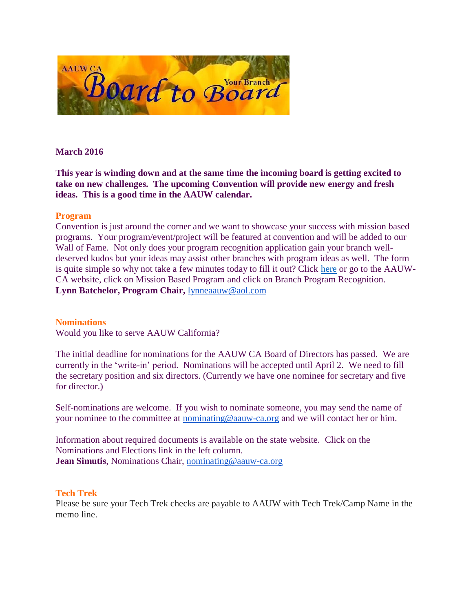

## **March 2016**

**This year is winding down and at the same time the incoming board is getting excited to take on new challenges. The upcoming Convention will provide new energy and fresh ideas. This is a good time in the AAUW calendar.**

#### **Program**

Convention is just around the corner and we want to showcase your success with mission based programs. Your program/event/project will be featured at convention and will be added to our Wall of Fame. Not only does your program recognition application gain your branch welldeserved kudos but your ideas may assist other branches with program ideas as well. The form is quite simple so why not take a few minutes today to fill it out? Click [here](http://www.aauw-ca.org/index.cfm?go=pages.view&pagesid=434&parent=197&coparent=434) or go to the AAUW-CA website, click on Mission Based Program and click on Branch Program Recognition. **Lynn Batchelor, Program Chair,** [lynneaauw@aol.com](mailto:lynneaauw@aol.com)

#### **Nominations**

Would you like to serve AAUW California?

The initial deadline for nominations for the AAUW CA Board of Directors has passed. We are currently in the 'write-in' period. Nominations will be accepted until April 2. We need to fill the secretary position and six directors. (Currently we have one nominee for secretary and five for director.)

Self-nominations are welcome. If you wish to nominate someone, you may send the name of your nominee to the committee at [nominating@aauw-ca.org](mailto:nominating@aauw-ca.org) and we will contact her or him.

Information about required documents is available on the state website. Click on the Nominations and Elections link in the left column. **Jean Simutis**, Nominations Chair, [nominating@aauw-ca.org](mailto:nominating@aauw-ca.org)

## **Tech Trek**

Please be sure your Tech Trek checks are payable to AAUW with Tech Trek/Camp Name in the memo line.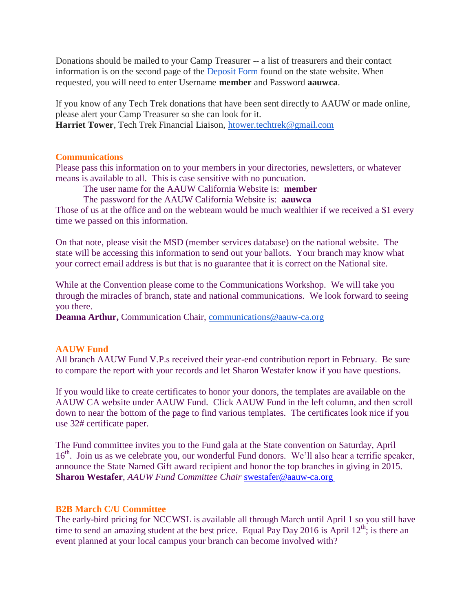Donations should be mailed to your Camp Treasurer -- a list of treasurers and their contact information is on the second page of the [Deposit Form](http://www.aauw-ca.org/Assets/membersonly/Tech_Trek_Deposit_Form_-_Branch_Use_-_Nov2015.xlsx) found on the state website. When requested, you will need to enter Username **member** and Password **aauwca**.

If you know of any Tech Trek donations that have been sent directly to AAUW or made online, please alert your Camp Treasurer so she can look for it. **Harriet Tower**, Tech Trek Financial Liaison, [htower.techtrek@gmail.com](mailto:htower.techtrek@gmail.com)

#### **Communications**

Please pass this information on to your members in your directories, newsletters, or whatever means is available to all. This is case sensitive with no puncuation.

The user name for the AAUW California Website is: **member**

The password for the AAUW California Website is: **aauwca**

Those of us at the office and on the webteam would be much wealthier if we received a \$1 every time we passed on this information.

On that note, please visit the MSD (member services database) on the national website. The state will be accessing this information to send out your ballots. Your branch may know what your correct email address is but that is no guarantee that it is correct on the National site.

While at the Convention please come to the Communications Workshop. We will take you through the miracles of branch, state and national communications. We look forward to seeing you there.

**Deanna Arthur,** Communication Chair, [communications@aauw-ca.org](mailto:communications@aauw-ca.org)

## **AAUW Fund**

All branch AAUW Fund V.P.s received their year-end contribution report in February. Be sure to compare the report with your records and let Sharon Westafer know if you have questions.

If you would like to create certificates to honor your donors, the templates are available on the AAUW CA website under AAUW Fund. Click AAUW Fund in the left column, and then scroll down to near the bottom of the page to find various templates. The certificates look nice if you use 32# certificate paper.

The Fund committee invites you to the Fund gala at the State convention on Saturday, April 16<sup>th</sup>. Join us as we celebrate you, our wonderful Fund donors. We'll also hear a terrific speaker, announce the State Named Gift award recipient and honor the top branches in giving in 2015. **Sharon Westafer**, *AAUW Fund Committee Chair* [swestafer@aauw-ca.org](mailto:swestafer@aauw-ca.org)

#### **B2B March C/U Committee**

The early-bird pricing for NCCWSL is available all through March until April 1 so you still have time to send an amazing student at the best price. Equal Pay Day 2016 is April  $12^{th}$ ; is there an event planned at your local campus your branch can become involved with?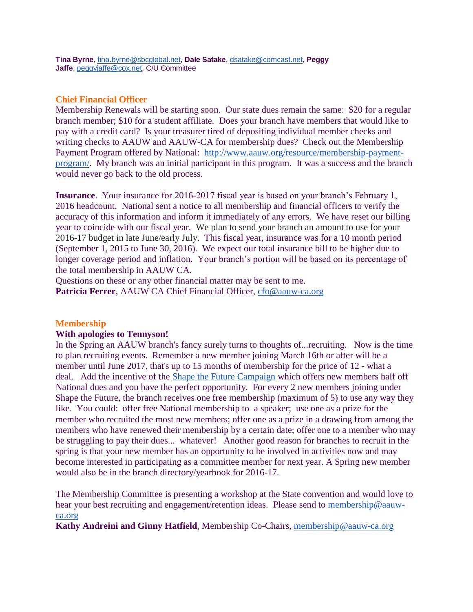# **Chief Financial Officer**

Membership Renewals will be starting soon. Our state dues remain the same: \$20 for a regular branch member; \$10 for a student affiliate. Does your branch have members that would like to pay with a credit card? Is your treasurer tired of depositing individual member checks and writing checks to AAUW and AAUW-CA for membership dues? Check out the Membership Payment Program offered by National: [http://www.aauw.org/resource/membership-payment](http://www.aauw.org/resource/membership-payment-program/)[program/.](http://www.aauw.org/resource/membership-payment-program/) My branch was an initial participant in this program. It was a success and the branch would never go back to the old process.

**Insurance**. Your insurance for 2016-2017 fiscal year is based on your branch's February 1, 2016 headcount. National sent a notice to all membership and financial officers to verify the accuracy of this information and inform it immediately of any errors. We have reset our billing year to coincide with our fiscal year. We plan to send your branch an amount to use for your 2016-17 budget in late June/early July. This fiscal year, insurance was for a 10 month period (September 1, 2015 to June 30, 2016). We expect our total insurance bill to be higher due to longer coverage period and inflation. Your branch's portion will be based on its percentage of the total membership in AAUW CA.

Questions on these or any other financial matter may be sent to me. **Patricia Ferrer**, AAUW CA Chief Financial Officer, [cfo@aauw-ca.org](mailto:cfo@aauw-ca.org)

## **Membership**

## **With apologies to Tennyson!**

In the Spring an AAUW branch's fancy surely turns to thoughts of...recruiting. Now is the time to plan recruiting events. Remember a new member joining March 16th or after will be a member until June 2017, that's up to 15 months of membership for the price of 12 - what a deal. Add the incentive of the [Shape the Future Campaign](http://www.aauw.org/resource/shape-the-future-membership-campaign/) which offers new members half off National dues and you have the perfect opportunity. For every 2 new members joining under Shape the Future, the branch receives one free membership (maximum of 5) to use any way they like. You could: offer free National membership to a speaker; use one as a prize for the member who recruited the most new members; offer one as a prize in a drawing from among the members who have renewed their membership by a certain date; offer one to a member who may be struggling to pay their dues... whatever! Another good reason for branches to recruit in the spring is that your new member has an opportunity to be involved in activities now and may become interested in participating as a committee member for next year. A Spring new member would also be in the branch directory/yearbook for 2016-17.

The Membership Committee is presenting a workshop at the State convention and would love to hear your best recruiting and engagement/retention ideas. Please send to [membership@aauw](mailto:membership@aauw-ca.org)[ca.org](mailto:membership@aauw-ca.org)

**Kathy Andreini and Ginny Hatfield**, Membership Co-Chairs, [membership@aauw-ca.org](mailto:membership@aauw-ca.org)